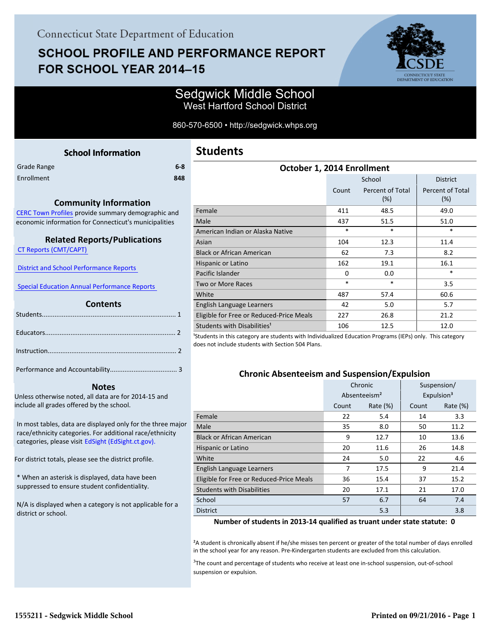# **SCHOOL PROFILE AND PERFORMANCE REPORT** FOR SCHOOL YEAR 2014-15



## Sedgwick Middle School West Hartford School District

860-570-6500 • http://sedgwick.whps.org

<span id="page-0-0"></span>

| <b>School Information</b>                                                                                               | Students                                      |
|-------------------------------------------------------------------------------------------------------------------------|-----------------------------------------------|
| $6-8$<br><b>Grade Range</b>                                                                                             |                                               |
| Enrollment<br>848                                                                                                       |                                               |
|                                                                                                                         |                                               |
| <b>Community Information</b>                                                                                            |                                               |
| CERC Town Profiles provide summary demographic and                                                                      | Female                                        |
| economic information for Connecticut's municipalities                                                                   | Male                                          |
|                                                                                                                         | American Indian or Alaska I                   |
| <b>Related Reports/Publications</b>                                                                                     | Asian                                         |
| <b>CT Reports (CMT/CAPT)</b>                                                                                            | <b>Black or African American</b>              |
|                                                                                                                         | Hispanic or Latino                            |
| <b>District and School Performance Reports</b>                                                                          | Pacific Islander                              |
| <b>Special Education Annual Performance Reports</b>                                                                     | <b>Two or More Races</b>                      |
|                                                                                                                         | White                                         |
| <b>Contents</b>                                                                                                         | English Language Learners                     |
|                                                                                                                         | Eligible for Free or Reduced                  |
|                                                                                                                         | Students with Disabilities <sup>1</sup>       |
|                                                                                                                         | <sup>1</sup> Students in this category are st |
|                                                                                                                         | does not include students with :              |
|                                                                                                                         |                                               |
|                                                                                                                         |                                               |
|                                                                                                                         | Chronic A                                     |
| <b>Notes</b>                                                                                                            |                                               |
| Unless otherwise noted, all data are for 2014-15 and                                                                    |                                               |
| include all grades offered by the school.                                                                               |                                               |
|                                                                                                                         | Female                                        |
| In most tables, data are displayed only for the three major<br>race/ethnicity categories. For additional race/ethnicity | Male                                          |
| categories, please visit EdSight (EdSight.ct.gov).                                                                      | <b>Black or African American</b>              |
|                                                                                                                         | Hispanic or Latino                            |
| For district totals, please see the district profile.                                                                   | White                                         |
|                                                                                                                         | Englich Language Learners                     |

\* When an asterisk is displayed, data have been suppressed to ensure student confidentiality.

N/A is displayed when a category is not applicable for a district or school.

# **Students**

| October 1, 2014 Enrollment               |        |                         |                         |  |  |  |
|------------------------------------------|--------|-------------------------|-------------------------|--|--|--|
|                                          |        | School                  | <b>District</b>         |  |  |  |
|                                          | Count  | Percent of Total<br>(%) | Percent of Total<br>(%) |  |  |  |
| Female                                   | 411    | 48.5                    | 49.0                    |  |  |  |
| Male                                     | 437    | 51.5                    | 51.0                    |  |  |  |
| American Indian or Alaska Native         | *      | $\ast$                  | $\ast$                  |  |  |  |
| Asian                                    | 104    | 12.3                    | 11.4                    |  |  |  |
| <b>Black or African American</b>         | 62     | 7.3                     | 8.2                     |  |  |  |
| Hispanic or Latino                       | 162    | 19.1                    | 16.1                    |  |  |  |
| Pacific Islander                         | 0      | 0.0                     | $\ast$                  |  |  |  |
| Two or More Races                        | $\ast$ | *                       | 3.5                     |  |  |  |
| White                                    | 487    | 57.4                    | 60.6                    |  |  |  |
| English Language Learners                | 42     | 5.0                     | 5.7                     |  |  |  |
| Eligible for Free or Reduced-Price Meals | 227    | 26.8                    | 21.2                    |  |  |  |
| Students with Disabilities <sup>1</sup>  | 106    | 12.5                    | 12.0                    |  |  |  |

udents with Individualized Education Programs (IEPs) only. This category Section 504 Plans.

### **Chronic Absenteeism and Suspension/Expulsion**

|                                          | Chronic |                          | Suspension/ |                        |
|------------------------------------------|---------|--------------------------|-------------|------------------------|
|                                          |         | Absenteeism <sup>2</sup> |             | Expulsion <sup>3</sup> |
|                                          | Count   | Rate $(\%)$              | Count       | Rate (%)               |
| Female                                   | 22      | 5.4                      | 14          | 3.3                    |
| Male                                     | 35      | 8.0                      | 50          | 11.2                   |
| <b>Black or African American</b>         | 9       | 12.7                     | 10          | 13.6                   |
| Hispanic or Latino                       | 20      | 11.6                     | 26          | 14.8                   |
| White                                    | 24      | 5.0                      | 22          | 4.6                    |
| English Language Learners                | 7       | 17.5                     | 9           | 21.4                   |
| Eligible for Free or Reduced-Price Meals | 36      | 15.4                     | 37          | 15.2                   |
| <b>Students with Disabilities</b>        | 20      | 17.1                     | 21          | 17.0                   |
| School                                   | 57      | 6.7                      | 64          | 7.4                    |
| <b>District</b>                          |         | 5.3                      |             | 3.8                    |

#### **Number of students in 2013-14 qualified as truant under state statute: 0**

<sup>2</sup>A student is chronically absent if he/she misses ten percent or greater of the total number of days enrolled in the school year for any reason. Pre-Kindergarten students are excluded from this calculation.

<sup>3</sup>The count and percentage of students who receive at least one in-school suspension, out-of-school suspension or expulsion.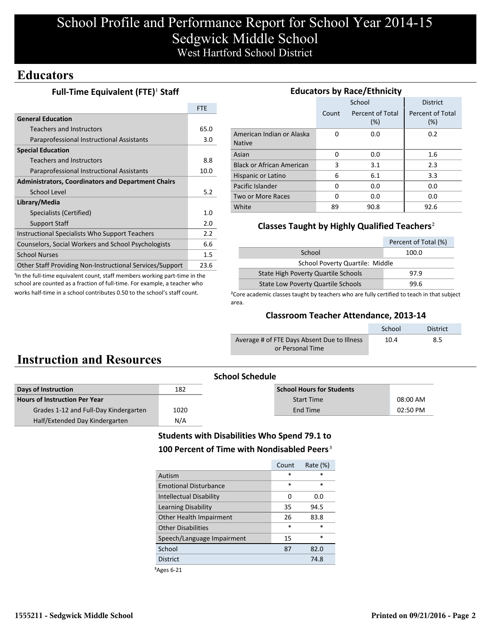# School Profile and Performance Report for School Year 2014-15 Sedgwick Middle School West Hartford School District

## **Educators**

### **Full-Time Equivalent (FTE)<sup>1</sup> Staff**

|                                                           | <b>FTF</b> |
|-----------------------------------------------------------|------------|
| <b>General Education</b>                                  |            |
| Teachers and Instructors                                  | 65.0       |
| Paraprofessional Instructional Assistants                 | 3.0        |
| <b>Special Education</b>                                  |            |
| Teachers and Instructors                                  | 8.8        |
| Paraprofessional Instructional Assistants                 | 10.0       |
| <b>Administrators, Coordinators and Department Chairs</b> |            |
| School Level                                              | 5.2        |
| Library/Media                                             |            |
| Specialists (Certified)                                   | 1.0        |
| <b>Support Staff</b>                                      | 2.0        |
| Instructional Specialists Who Support Teachers            | 2.2        |
| Counselors, Social Workers and School Psychologists       | 6.6        |
| <b>School Nurses</b>                                      | $1.5\,$    |
| Other Staff Providing Non-Instructional Services/Support  | 23.6       |
|                                                           |            |

<sup>1</sup>In the full-time equivalent count, staff members working part-time in the school are counted as a fraction of full-time. For example, a teacher who works half-time in a school contributes 0.50 to the school's staff count.

| <b>Educators by Race/Ethnicity</b>         |       |                         |                         |  |  |  |  |
|--------------------------------------------|-------|-------------------------|-------------------------|--|--|--|--|
|                                            |       | School                  | <b>District</b>         |  |  |  |  |
|                                            | Count | Percent of Total<br>(%) | Percent of Total<br>(%) |  |  |  |  |
| American Indian or Alaska<br><b>Native</b> | O     | 0.0                     | 0.2                     |  |  |  |  |
| Asian                                      | 0     | 0.0                     | 1.6                     |  |  |  |  |
| <b>Black or African American</b>           | 3     | 3.1                     | 2.3                     |  |  |  |  |
| Hispanic or Latino                         | 6     | 6.1                     | 3.3                     |  |  |  |  |
| Pacific Islander                           | 0     | 0.0                     | 0.0                     |  |  |  |  |
| Two or More Races                          | O     | 0.0                     | 0.0                     |  |  |  |  |
| White                                      | 89    | 90.8                    | 92.6                    |  |  |  |  |

### **Classes Taught by Highly Qualified Teachers**²

|                                            | Percent of Total (%) |  |  |  |  |
|--------------------------------------------|----------------------|--|--|--|--|
| School<br>100.0                            |                      |  |  |  |  |
| School Poverty Quartile: Middle            |                      |  |  |  |  |
| <b>State High Poverty Quartile Schools</b> | 97.9                 |  |  |  |  |
| <b>State Low Poverty Quartile Schools</b>  | 99 R                 |  |  |  |  |

<sup>2</sup>Core academic classes taught by teachers who are fully certified to teach in that subject area.

#### **Classroom Teacher Attendance, 2013-14**

|                                             | School | <b>District</b> |
|---------------------------------------------|--------|-----------------|
| Average # of FTE Days Absent Due to Illness | 10.4   | 8.5             |
| or Personal Time                            |        |                 |

## **Instruction and Resources**

| <b>School Schedule</b>                |      |                                  |          |  |
|---------------------------------------|------|----------------------------------|----------|--|
| Days of Instruction                   | 182  | <b>School Hours for Students</b> |          |  |
| <b>Hours of Instruction Per Year</b>  |      | <b>Start Time</b>                | 08:00 AM |  |
| Grades 1-12 and Full-Day Kindergarten | 1020 | End Time                         | 02:50 PM |  |
| Half/Extended Day Kindergarten        | N/A  |                                  |          |  |
|                                       |      |                                  |          |  |

### **Students with Disabilities Who Spend 79.1 to** 100 Percent of Time with Nondisabled Peers<sup>3</sup>

| Count  | Rate (%) |
|--------|----------|
| $\ast$ | $\ast$   |
| $\ast$ | $\ast$   |
| 0      | 0.0      |
| 35     | 94.5     |
| 26     | 83.8     |
| $\ast$ | $\ast$   |
| 15     | $\ast$   |
| 87     | 82.0     |
|        | 74.8     |
|        |          |

³Ages 6-21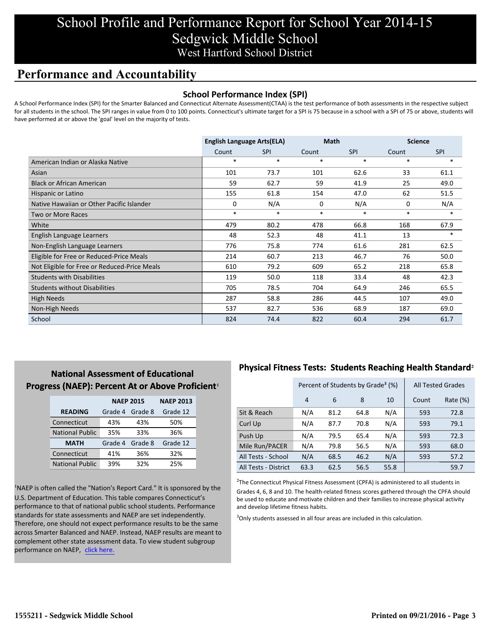## School Profile and Performance Report for School Year 2014-15 Sedgwick Middle School West Hartford School District

## **Performance and Accountability**

#### **School Performance Index (SPI)**

A School Performance Index (SPI) for the Smarter Balanced and Connecticut Alternate Assessment(CTAA) is the test performance of both assessments in the respective subject for all students in the school. The SPI ranges in value from 0 to 100 points. Connecticut's ultimate target for a SPI is 75 because in a school with a SPI of 75 or above, students will have performed at or above the 'goal' level on the majority of tests.

|                                              | <b>English Language Arts(ELA)</b> |            | <b>Math</b> |            | <b>Science</b> |            |
|----------------------------------------------|-----------------------------------|------------|-------------|------------|----------------|------------|
|                                              | Count                             | <b>SPI</b> | Count       | <b>SPI</b> | Count          | <b>SPI</b> |
| American Indian or Alaska Native             | $\ast$                            | $\ast$     | $\ast$      | $\ast$     | $\ast$         | $\ast$     |
| Asian                                        | 101                               | 73.7       | 101         | 62.6       | 33             | 61.1       |
| <b>Black or African American</b>             | 59                                | 62.7       | 59          | 41.9       | 25             | 49.0       |
| Hispanic or Latino                           | 155                               | 61.8       | 154         | 47.0       | 62             | 51.5       |
| Native Hawaiian or Other Pacific Islander    | 0                                 | N/A        | 0           | N/A        | 0              | N/A        |
| Two or More Races                            | $\ast$                            | $\ast$     | $\ast$      | $\ast$     | $\ast$         | $\ast$     |
| White                                        | 479                               | 80.2       | 478         | 66.8       | 168            | 67.9       |
| English Language Learners                    | 48                                | 52.3       | 48          | 41.1       | 13             | $\ast$     |
| Non-English Language Learners                | 776                               | 75.8       | 774         | 61.6       | 281            | 62.5       |
| Eligible for Free or Reduced-Price Meals     | 214                               | 60.7       | 213         | 46.7       | 76             | 50.0       |
| Not Eligible for Free or Reduced-Price Meals | 610                               | 79.2       | 609         | 65.2       | 218            | 65.8       |
| <b>Students with Disabilities</b>            | 119                               | 50.0       | 118         | 33.4       | 48             | 42.3       |
| <b>Students without Disabilities</b>         | 705                               | 78.5       | 704         | 64.9       | 246            | 65.5       |
| <b>High Needs</b>                            | 287                               | 58.8       | 286         | 44.5       | 107            | 49.0       |
| Non-High Needs                               | 537                               | 82.7       | 536         | 68.9       | 187            | 69.0       |
| School                                       | 824                               | 74.4       | 822         | 60.4       | 294            | 61.7       |

### **National Assessment of Educational Progress (NAEP): Percent At or Above Proficient1**

|                        | <b>NAEP 2015</b> | <b>NAEP 2013</b> |          |
|------------------------|------------------|------------------|----------|
| <b>READING</b>         | Grade 4          | Grade 8          | Grade 12 |
| Connecticut            | 43%              | 43%              | 50%      |
| <b>National Public</b> | 35%              | 33%              | 36%      |
| <b>MATH</b>            | Grade 4          | Grade 8          | Grade 12 |
| Connecticut            | 41%              | 36%              | 32%      |
| <b>National Public</b> | 39%              | 32%              | 25%      |

<sup>1</sup>NAEP is often called the "Nation's Report Card." It is sponsored by the U.S. Department of Education. This table compares Connecticut's performance to that of national public school students. Performance standards for state assessments and NAEP are set independently. Therefore, one should not expect performance results to be the same across Smarter Balanced and NAEP. Instead, NAEP results are meant to complement other state assessment data. To view student subgroup performance on NAEP, click here.

### **Physical Fitness Tests: Students Reaching Health Standard**²

|                      |      | Percent of Students by Grade <sup>3</sup> (%) | <b>All Tested Grades</b> |          |     |      |
|----------------------|------|-----------------------------------------------|--------------------------|----------|-----|------|
|                      | 4    | 6                                             | Count                    | Rate (%) |     |      |
| Sit & Reach          | N/A  | 81.2                                          | 64.8                     | N/A      | 593 | 72.8 |
| Curl Up              | N/A  | 87.7                                          | 70.8                     | N/A      | 593 | 79.1 |
| Push Up              | N/A  | 79.5                                          | 65.4                     | N/A      | 593 | 72.3 |
| Mile Run/PACER       | N/A  | 79.8                                          | 56.5                     | N/A      | 593 | 68.0 |
| All Tests - School   | N/A  | 68.5                                          | 46.2                     | N/A      | 593 | 57.2 |
| All Tests - District | 63.3 | 62.5                                          | 56.5                     | 55.8     |     | 59.7 |

 $2$ The Connecticut Physical Fitness Assessment (CPFA) is administered to all students in Grades 4, 6, 8 and 10. The health-related fitness scores gathered through the CPFA should be used to educate and motivate children and their families to increase physical activity and develop lifetime fitness habits.

<sup>3</sup>Only students assessed in all four areas are included in this calculation.